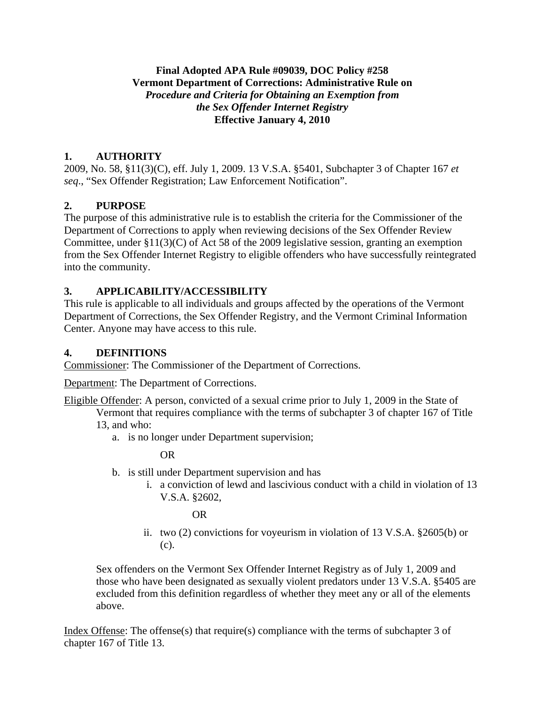## **Final Adopted APA Rule #09039, DOC Policy #258 Vermont Department of Corrections: Administrative Rule on**  *Procedure and Criteria for Obtaining an Exemption from the Sex Offender Internet Registry* **Effective January 4, 2010**

## **1. AUTHORITY**

2009, No. 58, §11(3)(C), eff. July 1, 2009. 13 V.S.A. §5401, Subchapter 3 of Chapter 167 *et seq*., "Sex Offender Registration; Law Enforcement Notification".

# **2. PURPOSE**

The purpose of this administrative rule is to establish the criteria for the Commissioner of the Department of Corrections to apply when reviewing decisions of the Sex Offender Review Committee, under  $\S11(3)(C)$  of Act 58 of the 2009 legislative session, granting an exemption from the Sex Offender Internet Registry to eligible offenders who have successfully reintegrated into the community.

## **3. APPLICABILITY/ACCESSIBILITY**

This rule is applicable to all individuals and groups affected by the operations of the Vermont Department of Corrections, the Sex Offender Registry, and the Vermont Criminal Information Center. Anyone may have access to this rule.

## **4. DEFINITIONS**

Commissioner: The Commissioner of the Department of Corrections.

Department: The Department of Corrections.

Eligible Offender: A person, convicted of a sexual crime prior to July 1, 2009 in the State of

Vermont that requires compliance with the terms of subchapter 3 of chapter 167 of Title 13, and who:

a. is no longer under Department supervision;

OR

- b. is still under Department supervision and has
	- i. a conviction of lewd and lascivious conduct with a child in violation of 13 V.S.A. §2602,

OR

ii. two (2) convictions for voyeurism in violation of 13 V.S.A. §2605(b) or (c).

Sex offenders on the Vermont Sex Offender Internet Registry as of July 1, 2009 and those who have been designated as sexually violent predators under 13 V.S.A. §5405 are excluded from this definition regardless of whether they meet any or all of the elements above.

Index Offense: The offense(s) that require(s) compliance with the terms of subchapter 3 of chapter 167 of Title 13.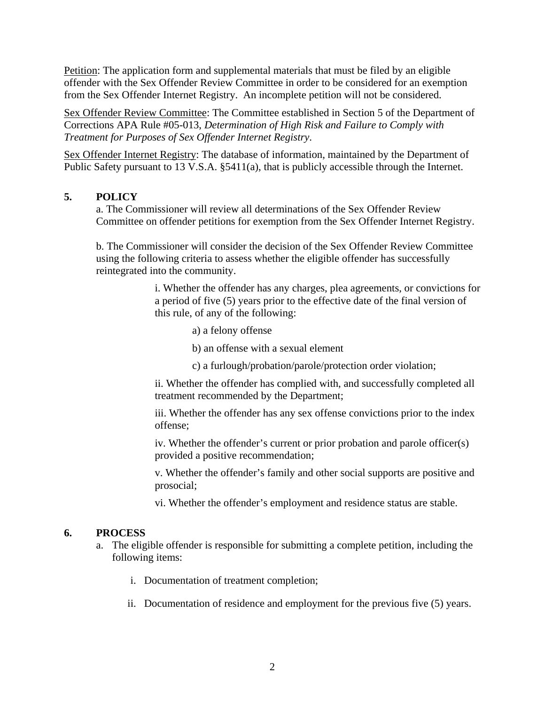Petition: The application form and supplemental materials that must be filed by an eligible offender with the Sex Offender Review Committee in order to be considered for an exemption from the Sex Offender Internet Registry. An incomplete petition will not be considered.

Sex Offender Review Committee: The Committee established in Section 5 of the Department of Corrections APA Rule #05-013, *Determination of High Risk and Failure to Comply with Treatment for Purposes of Sex Offender Internet Registry*.

Sex Offender Internet Registry: The database of information, maintained by the Department of Public Safety pursuant to 13 V.S.A. §5411(a), that is publicly accessible through the Internet.

## **5. POLICY**

a. The Commissioner will review all determinations of the Sex Offender Review Committee on offender petitions for exemption from the Sex Offender Internet Registry.

b. The Commissioner will consider the decision of the Sex Offender Review Committee using the following criteria to assess whether the eligible offender has successfully reintegrated into the community.

> i. Whether the offender has any charges, plea agreements, or convictions for a period of five (5) years prior to the effective date of the final version of this rule, of any of the following:

- a) a felony offense
- b) an offense with a sexual element
- c) a furlough/probation/parole/protection order violation;

ii. Whether the offender has complied with, and successfully completed all treatment recommended by the Department;

iii. Whether the offender has any sex offense convictions prior to the index offense;

iv. Whether the offender's current or prior probation and parole officer(s) provided a positive recommendation;

v. Whether the offender's family and other social supports are positive and prosocial;

vi. Whether the offender's employment and residence status are stable.

#### **6. PROCESS**

- a. The eligible offender is responsible for submitting a complete petition, including the following items:
	- i. Documentation of treatment completion;
	- ii. Documentation of residence and employment for the previous five (5) years.